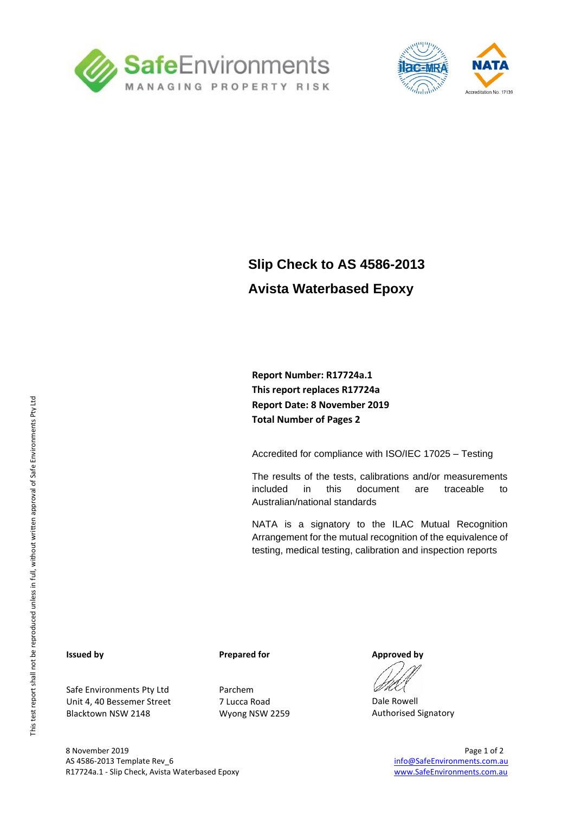



## **Slip Check to AS 4586-2013 Avista Waterbased Epoxy**

**Report Number: R17724a.1 This report replaces R17724a Report Date: 8 November 2019 Total Number of Pages 2**

Accredited for compliance with ISO/IEC 17025 – Testing

The results of the tests, calibrations and/or measurements included in this document are traceable to Australian/national standards

NATA is a signatory to the ILAC Mutual Recognition Arrangement for the mutual recognition of the equivalence of testing, medical testing, calibration and inspection reports

#### **Issued by**

Safe Environments Pty Ltd Unit 4, 40 Bessemer Street Blacktown NSW 2148

#### **Prepared for**

Parchem 7 Lucca Road Wyong NSW 2259 **Approved by**

Dale Rowell Authorised Signatory